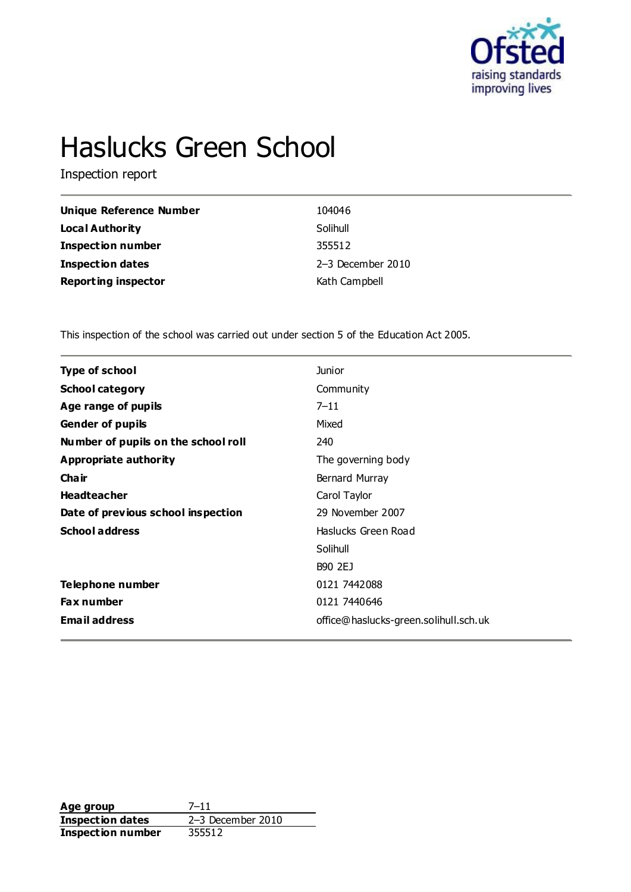

# Haslucks Green School

Inspection report

| Unique Reference Number    | 104046              |
|----------------------------|---------------------|
| Local Authority            | Solihull            |
| <b>Inspection number</b>   | 355512              |
| <b>Inspection dates</b>    | $2-3$ December 2010 |
| <b>Reporting inspector</b> | Kath Campbell       |

This inspection of the school was carried out under section 5 of the Education Act 2005.

| <b>Type of school</b>               | <b>Junior</b>                         |
|-------------------------------------|---------------------------------------|
| <b>School category</b>              | Community                             |
| Age range of pupils                 | $7 - 11$                              |
| <b>Gender of pupils</b>             | Mixed                                 |
| Number of pupils on the school roll | 240                                   |
| Appropriate authority               | The governing body                    |
| Cha ir                              | Bernard Murray                        |
| <b>Headteacher</b>                  | Carol Taylor                          |
| Date of previous school inspection  | 29 November 2007                      |
| <b>School address</b>               | Haslucks Green Road                   |
|                                     | Solihull                              |
|                                     | B90 2EJ                               |
| Telephone number                    | 0121 7442088                          |
| <b>Fax number</b>                   | 0121 7440646                          |
| <b>Email address</b>                | office@haslucks-green.solihull.sch.uk |
|                                     |                                       |

**Age group** 7-11<br> **Inspection dates** 2-3 December 2010 **Inspection dates** 2–3 December 2010 **Inspection number** 355512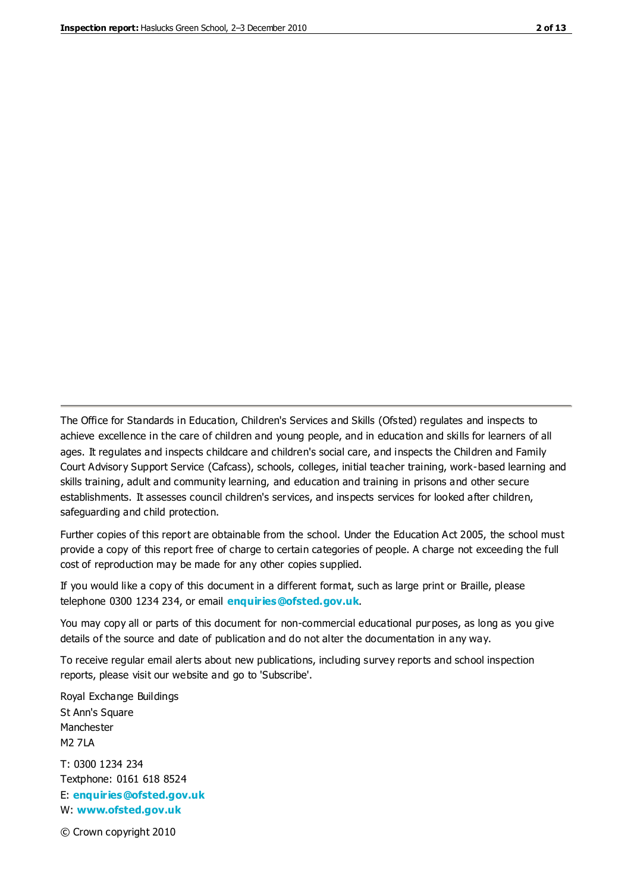The Office for Standards in Education, Children's Services and Skills (Ofsted) regulates and inspects to achieve excellence in the care of children and young people, and in education and skills for learners of all ages. It regulates and inspects childcare and children's social care, and inspects the Children and Family Court Advisory Support Service (Cafcass), schools, colleges, initial teacher training, work-based learning and skills training, adult and community learning, and education and training in prisons and other secure establishments. It assesses council children's services, and inspects services for looked after children, safeguarding and child protection.

Further copies of this report are obtainable from the school. Under the Education Act 2005, the school must provide a copy of this report free of charge to certain categories of people. A charge not exceeding the full cost of reproduction may be made for any other copies supplied.

If you would like a copy of this document in a different format, such as large print or Braille, please telephone 0300 1234 234, or email **[enquiries@ofsted.gov.uk](mailto:enquiries@ofsted.gov.uk)**.

You may copy all or parts of this document for non-commercial educational purposes, as long as you give details of the source and date of publication and do not alter the documentation in any way.

To receive regular email alerts about new publications, including survey reports and school inspection reports, please visit our website and go to 'Subscribe'.

Royal Exchange Buildings St Ann's Square Manchester M2 7LA T: 0300 1234 234 Textphone: 0161 618 8524 E: **[enquiries@ofsted.gov.uk](mailto:enquiries@ofsted.gov.uk)**

W: **[www.ofsted.gov.uk](http://www.ofsted.gov.uk/)**

© Crown copyright 2010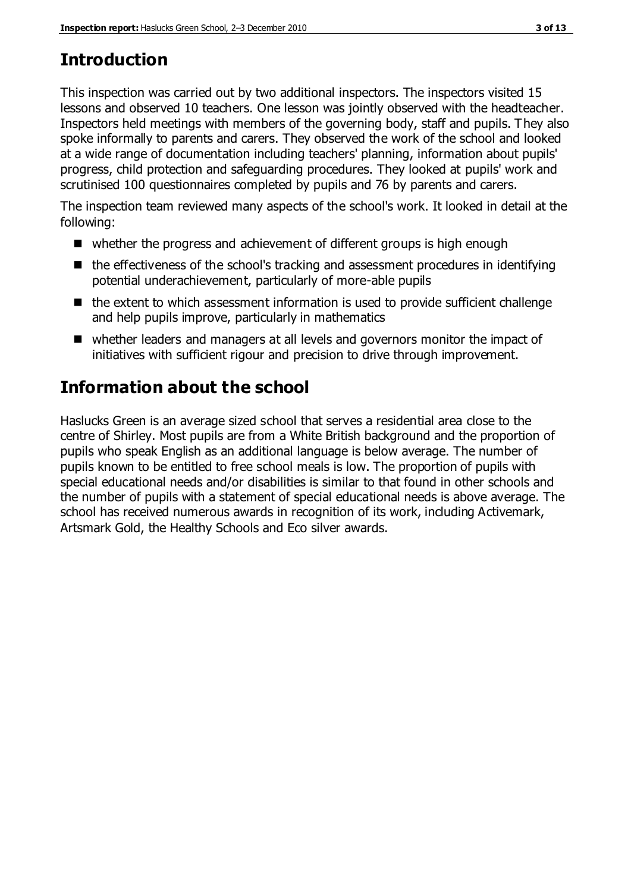# **Introduction**

This inspection was carried out by two additional inspectors. The inspectors visited 15 lessons and observed 10 teachers. One lesson was jointly observed with the headteacher. Inspectors held meetings with members of the governing body, staff and pupils. They also spoke informally to parents and carers. They observed the work of the school and looked at a wide range of documentation including teachers' planning, information about pupils' progress, child protection and safeguarding procedures. They looked at pupils' work and scrutinised 100 questionnaires completed by pupils and 76 by parents and carers.

The inspection team reviewed many aspects of the school's work. It looked in detail at the following:

- whether the progress and achievement of different groups is high enough
- $\blacksquare$  the effectiveness of the school's tracking and assessment procedures in identifying potential underachievement, particularly of more-able pupils
- $\blacksquare$  the extent to which assessment information is used to provide sufficient challenge and help pupils improve, particularly in mathematics
- whether leaders and managers at all levels and governors monitor the impact of initiatives with sufficient rigour and precision to drive through improvement.

# **Information about the school**

Haslucks Green is an average sized school that serves a residential area close to the centre of Shirley. Most pupils are from a White British background and the proportion of pupils who speak English as an additional language is below average. The number of pupils known to be entitled to free school meals is low. The proportion of pupils with special educational needs and/or disabilities is similar to that found in other schools and the number of pupils with a statement of special educational needs is above average. The school has received numerous awards in recognition of its work, including Activemark, Artsmark Gold, the Healthy Schools and Eco silver awards.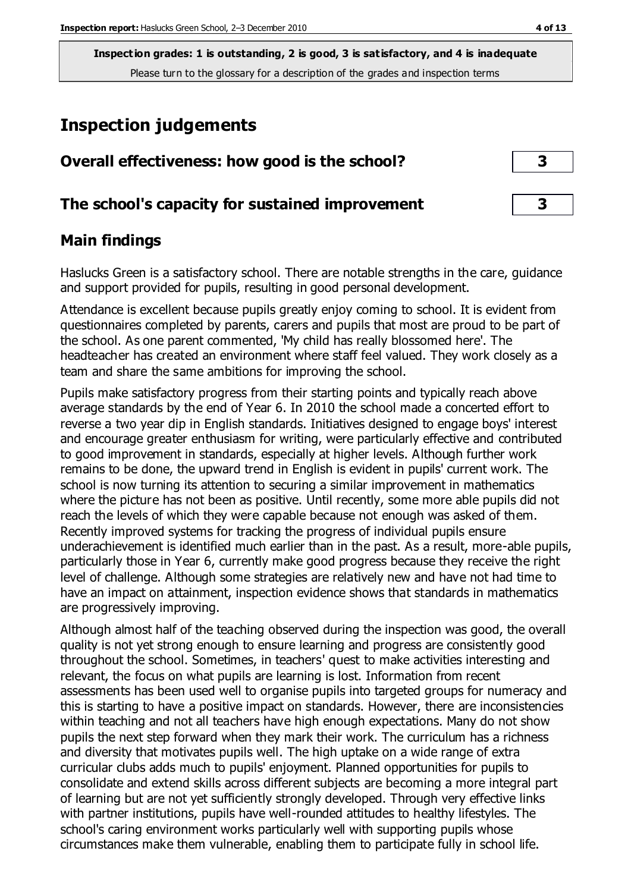**Inspection grades: 1 is outstanding, 2 is good, 3 is satisfactory, and 4 is inadequate** Please turn to the glossary for a description of the grades and inspection terms

## **Inspection judgements**

| Overall effectiveness: how good is the school?  |  |
|-------------------------------------------------|--|
| The school's capacity for sustained improvement |  |

## **Main findings**

Haslucks Green is a satisfactory school. There are notable strengths in the care, guidance and support provided for pupils, resulting in good personal development.

Attendance is excellent because pupils greatly enjoy coming to school. It is evident from questionnaires completed by parents, carers and pupils that most are proud to be part of the school. As one parent commented, 'My child has really blossomed here'. The headteacher has created an environment where staff feel valued. They work closely as a team and share the same ambitions for improving the school.

Pupils make satisfactory progress from their starting points and typically reach above average standards by the end of Year 6. In 2010 the school made a concerted effort to reverse a two year dip in English standards. Initiatives designed to engage boys' interest and encourage greater enthusiasm for writing, were particularly effective and contributed to good improvement in standards, especially at higher levels. Although further work remains to be done, the upward trend in English is evident in pupils' current work. The school is now turning its attention to securing a similar improvement in mathematics where the picture has not been as positive. Until recently, some more able pupils did not reach the levels of which they were capable because not enough was asked of them. Recently improved systems for tracking the progress of individual pupils ensure underachievement is identified much earlier than in the past. As a result, more-able pupils, particularly those in Year 6, currently make good progress because they receive the right level of challenge. Although some strategies are relatively new and have not had time to have an impact on attainment, inspection evidence shows that standards in mathematics are progressively improving.

Although almost half of the teaching observed during the inspection was good, the overall quality is not yet strong enough to ensure learning and progress are consistently good throughout the school. Sometimes, in teachers' quest to make activities interesting and relevant, the focus on what pupils are learning is lost. Information from recent assessments has been used well to organise pupils into targeted groups for numeracy and this is starting to have a positive impact on standards. However, there are inconsistencies within teaching and not all teachers have high enough expectations. Many do not show pupils the next step forward when they mark their work. The curriculum has a richness and diversity that motivates pupils well. The high uptake on a wide range of extra curricular clubs adds much to pupils' enjoyment. Planned opportunities for pupils to consolidate and extend skills across different subjects are becoming a more integral part of learning but are not yet sufficiently strongly developed. Through very effective links with partner institutions, pupils have well-rounded attitudes to healthy lifestyles. The school's caring environment works particularly well with supporting pupils whose circumstances make them vulnerable, enabling them to participate fully in school life.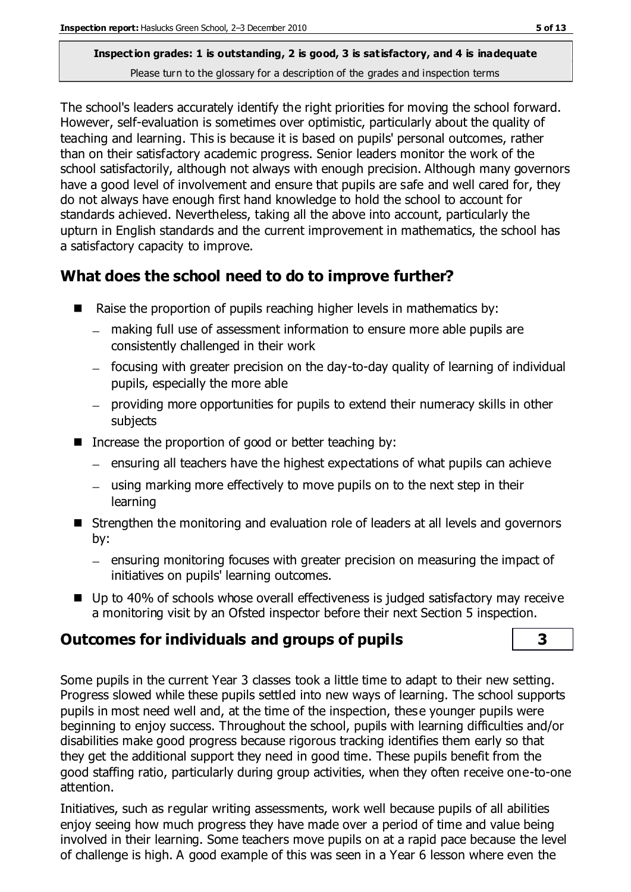#### **Inspection grades: 1 is outstanding, 2 is good, 3 is satisfactory, and 4 is inadequate** Please turn to the glossary for a description of the grades and inspection terms

The school's leaders accurately identify the right priorities for moving the school forward. However, self-evaluation is sometimes over optimistic, particularly about the quality of teaching and learning. This is because it is based on pupils' personal outcomes, rather than on their satisfactory academic progress. Senior leaders monitor the work of the school satisfactorily, although not always with enough precision. Although many governors have a good level of involvement and ensure that pupils are safe and well cared for, they do not always have enough first hand knowledge to hold the school to account for standards achieved. Nevertheless, taking all the above into account, particularly the upturn in English standards and the current improvement in mathematics, the school has a satisfactory capacity to improve.

## **What does the school need to do to improve further?**

- Raise the proportion of pupils reaching higher levels in mathematics by:
	- making full use of assessment information to ensure more able pupils are consistently challenged in their work
	- focusing with greater precision on the day-to-day quality of learning of individual pupils, especially the more able
	- providing more opportunities for pupils to extend their numeracy skills in other subjects
- Increase the proportion of good or better teaching by:
	- $=$  ensuring all teachers have the highest expectations of what pupils can achieve
	- using marking more effectively to move pupils on to the next step in their learning
- Strengthen the monitoring and evaluation role of leaders at all levels and governors by:
	- ensuring monitoring focuses with greater precision on measuring the impact of initiatives on pupils' learning outcomes.
- Up to 40% of schools whose overall effectiveness is judged satisfactory may receive a monitoring visit by an Ofsted inspector before their next Section 5 inspection.

## **Outcomes for individuals and groups of pupils 3**

Some pupils in the current Year 3 classes took a little time to adapt to their new setting. Progress slowed while these pupils settled into new ways of learning. The school supports pupils in most need well and, at the time of the inspection, these younger pupils were beginning to enjoy success. Throughout the school, pupils with learning difficulties and/or disabilities make good progress because rigorous tracking identifies them early so that they get the additional support they need in good time. These pupils benefit from the good staffing ratio, particularly during group activities, when they often receive one-to-one attention.

Initiatives, such as regular writing assessments, work well because pupils of all abilities enjoy seeing how much progress they have made over a period of time and value being involved in their learning. Some teachers move pupils on at a rapid pace because the level of challenge is high. A good example of this was seen in a Year 6 lesson where even the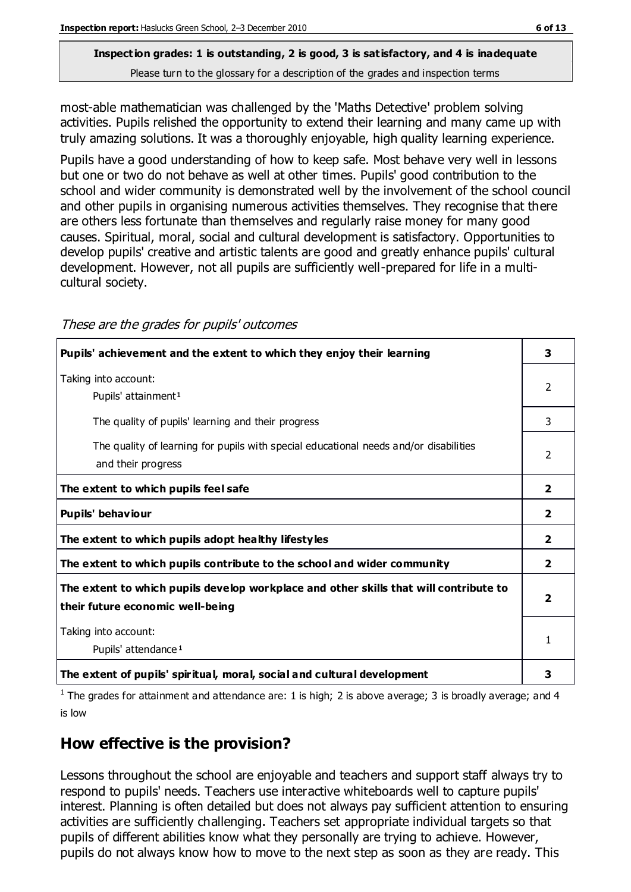# **Inspection grades: 1 is outstanding, 2 is good, 3 is satisfactory, and 4 is inadequate**

Please turn to the glossary for a description of the grades and inspection terms

most-able mathematician was challenged by the 'Maths Detective' problem solving activities. Pupils relished the opportunity to extend their learning and many came up with truly amazing solutions. It was a thoroughly enjoyable, high quality learning experience.

Pupils have a good understanding of how to keep safe. Most behave very well in lessons but one or two do not behave as well at other times. Pupils' good contribution to the school and wider community is demonstrated well by the involvement of the school council and other pupils in organising numerous activities themselves. They recognise that there are others less fortunate than themselves and regularly raise money for many good causes. Spiritual, moral, social and cultural development is satisfactory. Opportunities to develop pupils' creative and artistic talents are good and greatly enhance pupils' cultural development. However, not all pupils are sufficiently well-prepared for life in a multicultural society.

| Pupils' achievement and the extent to which they enjoy their learning                 | 3                       |
|---------------------------------------------------------------------------------------|-------------------------|
| Taking into account:                                                                  | $\mathcal{P}$           |
| Pupils' attainment <sup>1</sup>                                                       |                         |
| The quality of pupils' learning and their progress                                    | 3                       |
| The quality of learning for pupils with special educational needs and/or disabilities | $\mathcal{P}$           |
| and their progress                                                                    |                         |
| The extent to which pupils feel safe                                                  | $\overline{2}$          |
| Pupils' behaviour                                                                     | $\mathbf{2}$            |
| The extent to which pupils adopt healthy lifestyles                                   | $\overline{\mathbf{2}}$ |
| The extent to which pupils contribute to the school and wider community               | $\overline{2}$          |
| The extent to which pupils develop workplace and other skills that will contribute to |                         |
| their future economic well-being                                                      | 2                       |
| Taking into account:                                                                  | 1                       |
| Pupils' attendance <sup>1</sup>                                                       |                         |
| The extent of pupils' spiritual, moral, social and cultural development               | з                       |

These are the grades for pupils' outcomes

<sup>1</sup> The grades for attainment and attendance are: 1 is high; 2 is above average; 3 is broadly average; and 4 is low

## **How effective is the provision?**

Lessons throughout the school are enjoyable and teachers and support staff always try to respond to pupils' needs. Teachers use interactive whiteboards well to capture pupils' interest. Planning is often detailed but does not always pay sufficient attention to ensuring activities are sufficiently challenging. Teachers set appropriate individual targets so that pupils of different abilities know what they personally are trying to achieve. However, pupils do not always know how to move to the next step as soon as they are ready. This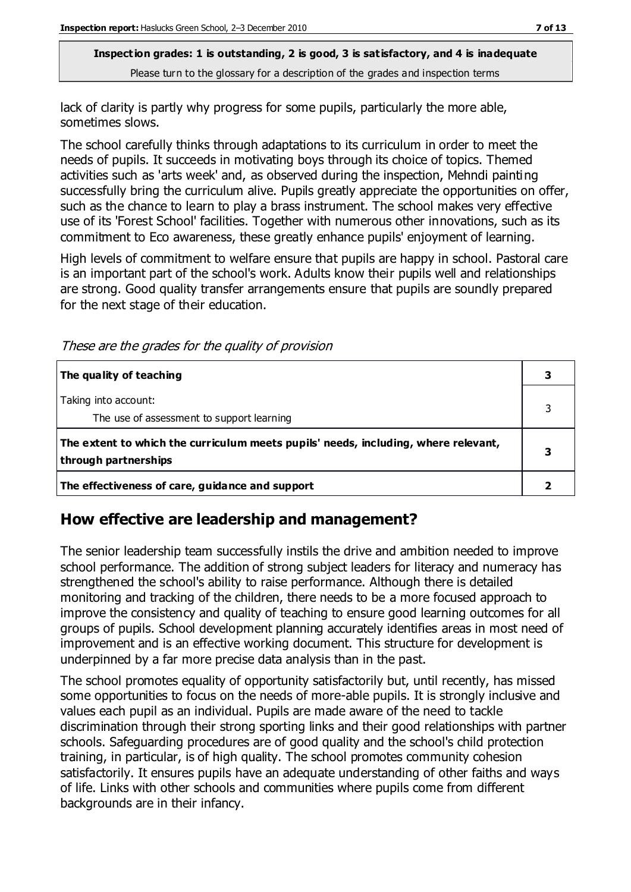**Inspection grades: 1 is outstanding, 2 is good, 3 is satisfactory, and 4 is inadequate** Please turn to the glossary for a description of the grades and inspection terms

lack of clarity is partly why progress for some pupils, particularly the more able, sometimes slows.

The school carefully thinks through adaptations to its curriculum in order to meet the needs of pupils. It succeeds in motivating boys through its choice of topics. Themed activities such as 'arts week' and, as observed during the inspection, Mehndi painting successfully bring the curriculum alive. Pupils greatly appreciate the opportunities on offer, such as the chance to learn to play a brass instrument. The school makes very effective use of its 'Forest School' facilities. Together with numerous other innovations, such as its commitment to Eco awareness, these greatly enhance pupils' enjoyment of learning.

High levels of commitment to welfare ensure that pupils are happy in school. Pastoral care is an important part of the school's work. Adults know their pupils well and relationships are strong. Good quality transfer arrangements ensure that pupils are soundly prepared for the next stage of their education.

These are the grades for the quality of provision

| The quality of teaching                                                                                    |  |
|------------------------------------------------------------------------------------------------------------|--|
| Taking into account:<br>The use of assessment to support learning                                          |  |
| The extent to which the curriculum meets pupils' needs, including, where relevant,<br>through partnerships |  |
| The effectiveness of care, guidance and support                                                            |  |

## **How effective are leadership and management?**

The senior leadership team successfully instils the drive and ambition needed to improve school performance. The addition of strong subject leaders for literacy and numeracy has strengthened the school's ability to raise performance. Although there is detailed monitoring and tracking of the children, there needs to be a more focused approach to improve the consistency and quality of teaching to ensure good learning outcomes for all groups of pupils. School development planning accurately identifies areas in most need of improvement and is an effective working document. This structure for development is underpinned by a far more precise data analysis than in the past.

The school promotes equality of opportunity satisfactorily but, until recently, has missed some opportunities to focus on the needs of more-able pupils. It is strongly inclusive and values each pupil as an individual. Pupils are made aware of the need to tackle discrimination through their strong sporting links and their good relationships with partner schools. Safeguarding procedures are of good quality and the school's child protection training, in particular, is of high quality. The school promotes community cohesion satisfactorily. It ensures pupils have an adequate understanding of other faiths and ways of life. Links with other schools and communities where pupils come from different backgrounds are in their infancy.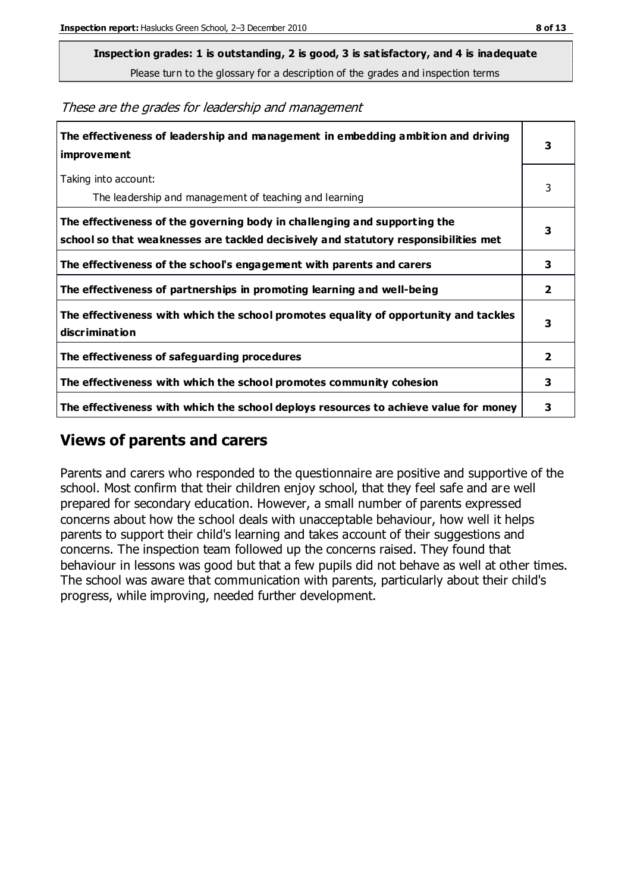**Inspection grades: 1 is outstanding, 2 is good, 3 is satisfactory, and 4 is inadequate**

Please turn to the glossary for a description of the grades and inspection terms

These are the grades for leadership and management

| The effectiveness of leadership and management in embedding ambition and driving<br>improvement                                                                  |                         |
|------------------------------------------------------------------------------------------------------------------------------------------------------------------|-------------------------|
| Taking into account:<br>The leadership and management of teaching and learning                                                                                   | 3                       |
| The effectiveness of the governing body in challenging and supporting the<br>school so that weaknesses are tackled decisively and statutory responsibilities met | 3                       |
| The effectiveness of the school's engagement with parents and carers                                                                                             | 3                       |
| The effectiveness of partnerships in promoting learning and well-being                                                                                           | $\overline{\mathbf{2}}$ |
| The effectiveness with which the school promotes equality of opportunity and tackles<br>discrimination                                                           | 3                       |
| The effectiveness of safeguarding procedures                                                                                                                     | 2                       |
| The effectiveness with which the school promotes community cohesion                                                                                              |                         |
| The effectiveness with which the school deploys resources to achieve value for money                                                                             | 3                       |

## **Views of parents and carers**

Parents and carers who responded to the questionnaire are positive and supportive of the school. Most confirm that their children enjoy school, that they feel safe and are well prepared for secondary education. However, a small number of parents expressed concerns about how the school deals with unacceptable behaviour, how well it helps parents to support their child's learning and takes account of their suggestions and concerns. The inspection team followed up the concerns raised. They found that behaviour in lessons was good but that a few pupils did not behave as well at other times. The school was aware that communication with parents, particularly about their child's progress, while improving, needed further development.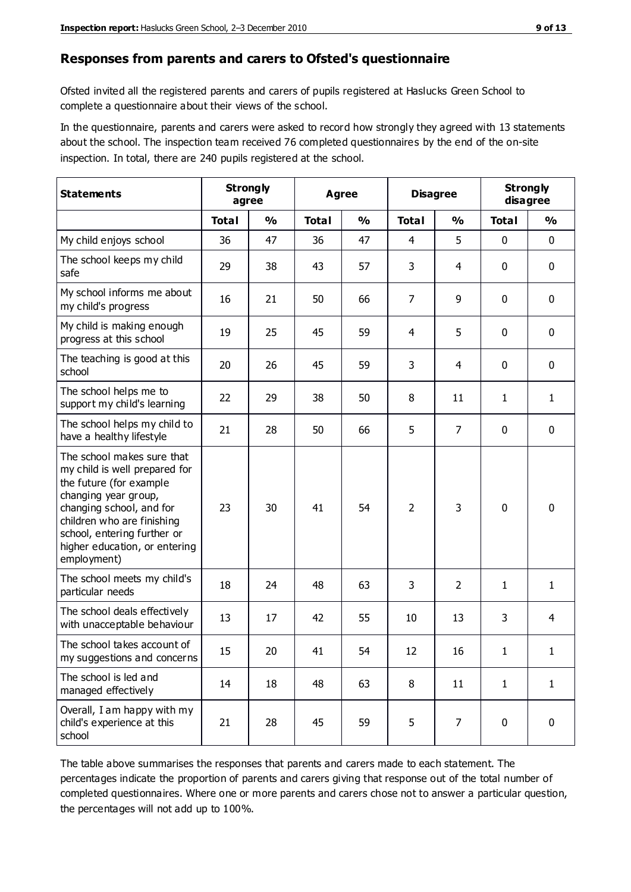#### **Responses from parents and carers to Ofsted's questionnaire**

Ofsted invited all the registered parents and carers of pupils registered at Haslucks Green School to complete a questionnaire about their views of the school.

In the questionnaire, parents and carers were asked to record how strongly they agreed with 13 statements about the school. The inspection team received 76 completed questionnaires by the end of the on-site inspection. In total, there are 240 pupils registered at the school.

| <b>Statements</b>                                                                                                                                                                                                                                       | <b>Strongly</b><br>agree |               | <b>Agree</b> |               | <b>Disagree</b> |                | <b>Strongly</b><br>disagree |              |
|---------------------------------------------------------------------------------------------------------------------------------------------------------------------------------------------------------------------------------------------------------|--------------------------|---------------|--------------|---------------|-----------------|----------------|-----------------------------|--------------|
|                                                                                                                                                                                                                                                         | <b>Total</b>             | $\frac{0}{0}$ | <b>Total</b> | $\frac{0}{0}$ | <b>Total</b>    | $\frac{0}{0}$  | <b>Total</b>                | %            |
| My child enjoys school                                                                                                                                                                                                                                  | 36                       | 47            | 36           | 47            | 4               | 5              | $\mathbf 0$                 | $\mathbf 0$  |
| The school keeps my child<br>safe                                                                                                                                                                                                                       | 29                       | 38            | 43           | 57            | 3               | 4              | $\mathbf 0$                 | $\mathbf 0$  |
| My school informs me about<br>my child's progress                                                                                                                                                                                                       | 16                       | 21            | 50           | 66            | 7               | 9              | $\mathbf 0$                 | $\mathbf 0$  |
| My child is making enough<br>progress at this school                                                                                                                                                                                                    | 19                       | 25            | 45           | 59            | 4               | 5              | $\mathbf 0$                 | $\mathbf 0$  |
| The teaching is good at this<br>school                                                                                                                                                                                                                  | 20                       | 26            | 45           | 59            | 3               | $\overline{4}$ | $\mathbf 0$                 | $\mathbf 0$  |
| The school helps me to<br>support my child's learning                                                                                                                                                                                                   | 22                       | 29            | 38           | 50            | 8               | 11             | 1                           | $\mathbf{1}$ |
| The school helps my child to<br>have a healthy lifestyle                                                                                                                                                                                                | 21                       | 28            | 50           | 66            | 5               | $\overline{7}$ | $\mathbf 0$                 | $\mathbf 0$  |
| The school makes sure that<br>my child is well prepared for<br>the future (for example<br>changing year group,<br>changing school, and for<br>children who are finishing<br>school, entering further or<br>higher education, or entering<br>employment) | 23                       | 30            | 41           | 54            | $\overline{2}$  | 3              | $\mathbf 0$                 | $\mathbf 0$  |
| The school meets my child's<br>particular needs                                                                                                                                                                                                         | 18                       | 24            | 48           | 63            | 3               | $\overline{2}$ | 1                           | 1            |
| The school deals effectively<br>with unacceptable behaviour                                                                                                                                                                                             | 13                       | 17            | 42           | 55            | 10              | 13             | 3                           | 4            |
| The school takes account of<br>my suggestions and concerns                                                                                                                                                                                              | 15                       | 20            | 41           | 54            | 12              | 16             | 1                           | 1            |
| The school is led and<br>managed effectively                                                                                                                                                                                                            | 14                       | 18            | 48           | 63            | 8               | 11             | $\mathbf{1}$                | $\mathbf{1}$ |
| Overall, I am happy with my<br>child's experience at this<br>school                                                                                                                                                                                     | 21                       | 28            | 45           | 59            | 5               | $\overline{7}$ | $\mathbf 0$                 | $\mathbf 0$  |

The table above summarises the responses that parents and carers made to each statement. The percentages indicate the proportion of parents and carers giving that response out of the total number of completed questionnaires. Where one or more parents and carers chose not to answer a particular question, the percentages will not add up to 100%.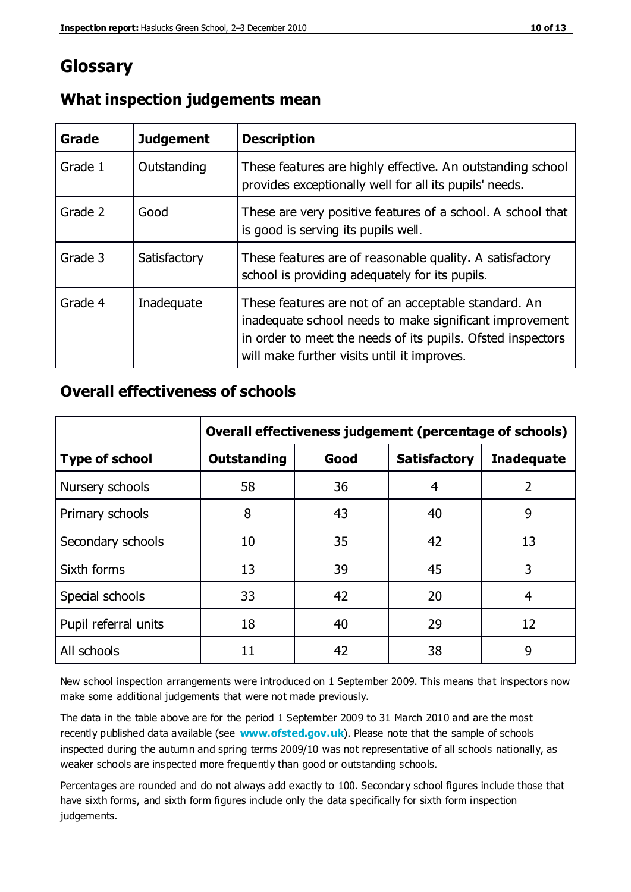## **Glossary**

| Grade   | <b>Judgement</b> | <b>Description</b>                                                                                                                                                                                                            |
|---------|------------------|-------------------------------------------------------------------------------------------------------------------------------------------------------------------------------------------------------------------------------|
| Grade 1 | Outstanding      | These features are highly effective. An outstanding school<br>provides exceptionally well for all its pupils' needs.                                                                                                          |
| Grade 2 | Good             | These are very positive features of a school. A school that<br>is good is serving its pupils well.                                                                                                                            |
| Grade 3 | Satisfactory     | These features are of reasonable quality. A satisfactory<br>school is providing adequately for its pupils.                                                                                                                    |
| Grade 4 | Inadequate       | These features are not of an acceptable standard. An<br>inadequate school needs to make significant improvement<br>in order to meet the needs of its pupils. Ofsted inspectors<br>will make further visits until it improves. |

#### **What inspection judgements mean**

#### **Overall effectiveness of schools**

|                       | Overall effectiveness judgement (percentage of schools) |      |                     |                   |
|-----------------------|---------------------------------------------------------|------|---------------------|-------------------|
| <b>Type of school</b> | <b>Outstanding</b>                                      | Good | <b>Satisfactory</b> | <b>Inadequate</b> |
| Nursery schools       | 58                                                      | 36   | 4                   | 2                 |
| Primary schools       | 8                                                       | 43   | 40                  | 9                 |
| Secondary schools     | 10                                                      | 35   | 42                  | 13                |
| Sixth forms           | 13                                                      | 39   | 45                  | 3                 |
| Special schools       | 33                                                      | 42   | 20                  | 4                 |
| Pupil referral units  | 18                                                      | 40   | 29                  | 12                |
| All schools           | 11                                                      | 42   | 38                  | 9                 |

New school inspection arrangements were introduced on 1 September 2009. This means that inspectors now make some additional judgements that were not made previously.

The data in the table above are for the period 1 September 2009 to 31 March 2010 and are the most recently published data available (see **[www.ofsted.gov.uk](http://www.ofsted.gov.uk/)**). Please note that the sample of schools inspected during the autumn and spring terms 2009/10 was not representative of all schools nationally, as weaker schools are inspected more frequently than good or outstanding schools.

Percentages are rounded and do not always add exactly to 100. Secondary school figures include those that have sixth forms, and sixth form figures include only the data specifically for sixth form inspection judgements.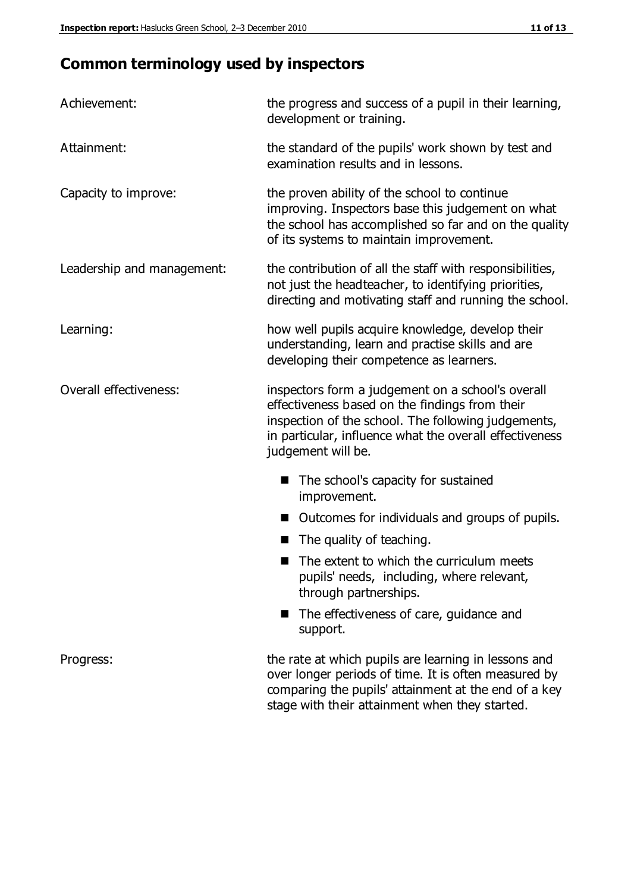## **Common terminology used by inspectors**

| Achievement:                  | the progress and success of a pupil in their learning,<br>development or training.                                                                                                                                                          |  |  |
|-------------------------------|---------------------------------------------------------------------------------------------------------------------------------------------------------------------------------------------------------------------------------------------|--|--|
| Attainment:                   | the standard of the pupils' work shown by test and<br>examination results and in lessons.                                                                                                                                                   |  |  |
| Capacity to improve:          | the proven ability of the school to continue<br>improving. Inspectors base this judgement on what<br>the school has accomplished so far and on the quality<br>of its systems to maintain improvement.                                       |  |  |
| Leadership and management:    | the contribution of all the staff with responsibilities,<br>not just the headteacher, to identifying priorities,<br>directing and motivating staff and running the school.                                                                  |  |  |
| Learning:                     | how well pupils acquire knowledge, develop their<br>understanding, learn and practise skills and are<br>developing their competence as learners.                                                                                            |  |  |
| <b>Overall effectiveness:</b> | inspectors form a judgement on a school's overall<br>effectiveness based on the findings from their<br>inspection of the school. The following judgements,<br>in particular, influence what the overall effectiveness<br>judgement will be. |  |  |
|                               | The school's capacity for sustained<br>improvement.                                                                                                                                                                                         |  |  |
|                               | Outcomes for individuals and groups of pupils.                                                                                                                                                                                              |  |  |
|                               | The quality of teaching.                                                                                                                                                                                                                    |  |  |
|                               | The extent to which the curriculum meets<br>pupils' needs, including, where relevant,<br>through partnerships.                                                                                                                              |  |  |
|                               | The effectiveness of care, guidance and<br>support.                                                                                                                                                                                         |  |  |
| Progress:                     | the rate at which pupils are learning in lessons and<br>over longer periods of time. It is often measured by<br>comparing the pupils' attainment at the end of a key                                                                        |  |  |

stage with their attainment when they started.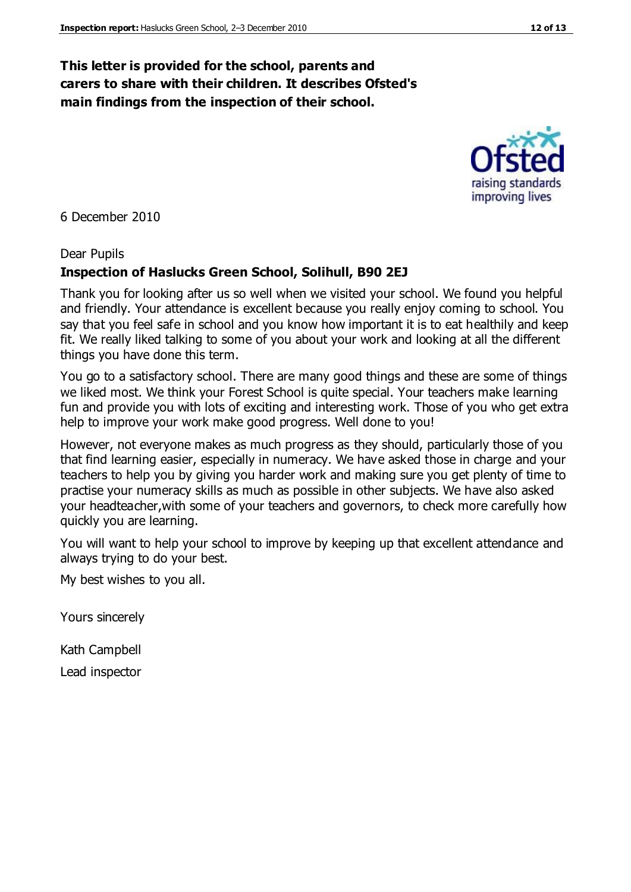#### **This letter is provided for the school, parents and carers to share with their children. It describes Ofsted's main findings from the inspection of their school.**

6 December 2010

#### Dear Pupils

#### **Inspection of Haslucks Green School, Solihull, B90 2EJ**

Thank you for looking after us so well when we visited your school. We found you helpful and friendly. Your attendance is excellent because you really enjoy coming to school. You say that you feel safe in school and you know how important it is to eat healthily and keep fit. We really liked talking to some of you about your work and looking at all the different things you have done this term.

You go to a satisfactory school. There are many good things and these are some of things we liked most. We think your Forest School is quite special. Your teachers make learning fun and provide you with lots of exciting and interesting work. Those of you who get extra help to improve your work make good progress. Well done to you!

However, not everyone makes as much progress as they should, particularly those of you that find learning easier, especially in numeracy. We have asked those in charge and your teachers to help you by giving you harder work and making sure you get plenty of time to practise your numeracy skills as much as possible in other subjects. We have also asked your headteacher,with some of your teachers and governors, to check more carefully how quickly you are learning.

You will want to help your school to improve by keeping up that excellent attendance and always trying to do your best.

My best wishes to you all.

Yours sincerely

Kath Campbell

Lead inspector